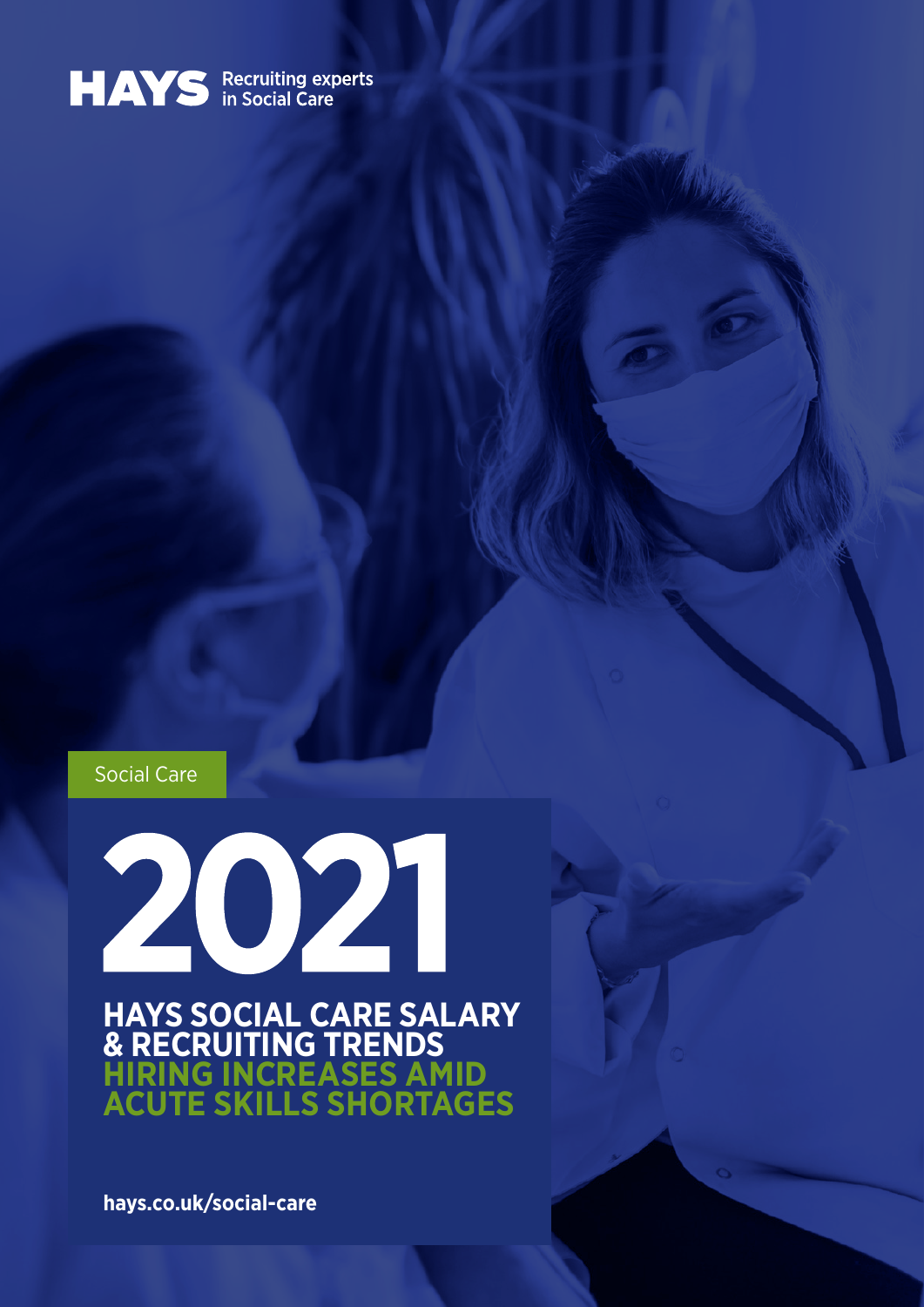





**HAYS SOCIAL CARE SALARY & RECRUITING TRENDS HIRING INCREASES AMID ACUTE SKILLS SHORTAGES**

**[hays.co.uk/social-care](http://hays.co.uk/social-care)**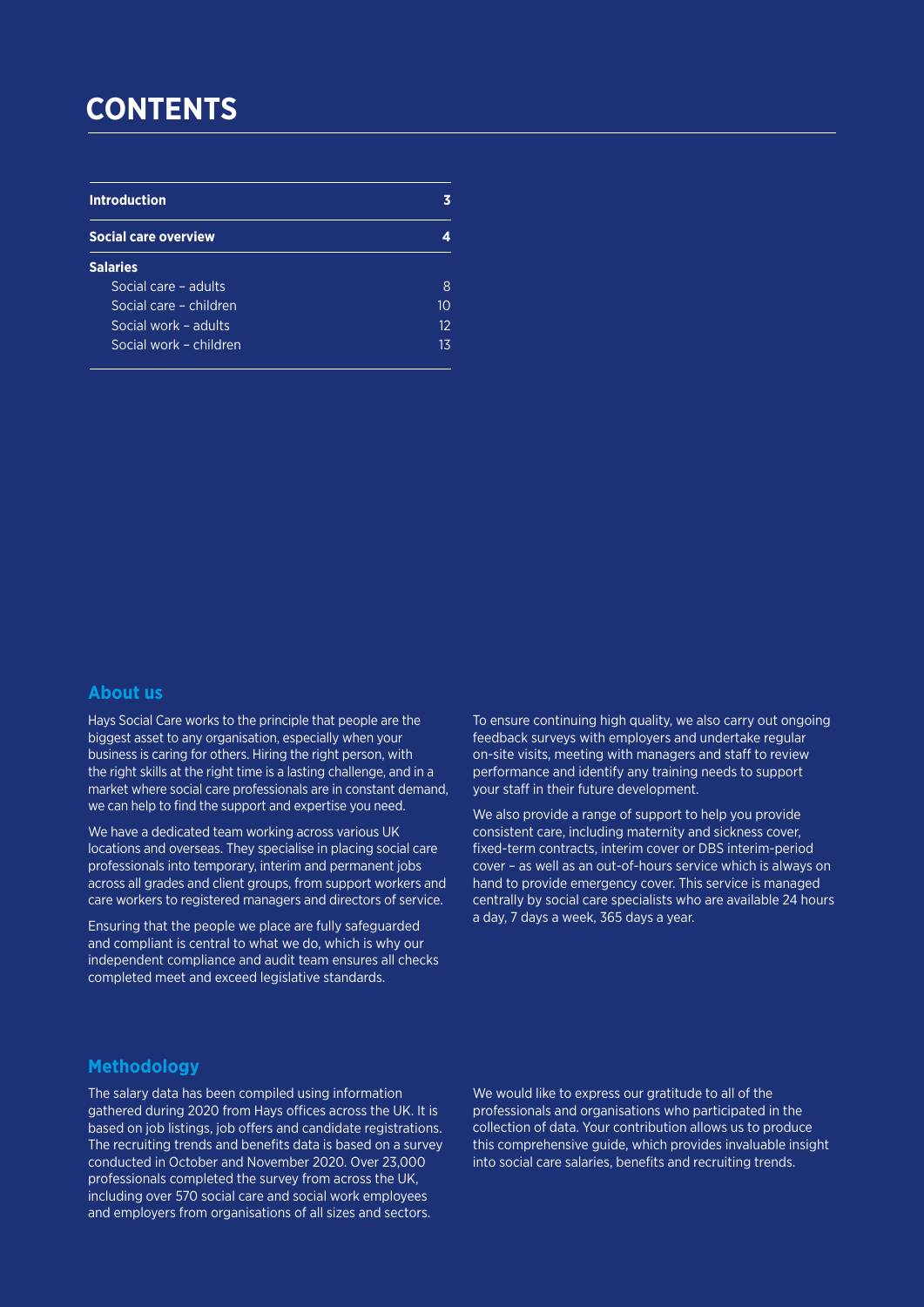### **CONTENTS**

| <b>Introduction</b>         |    |
|-----------------------------|----|
| <b>Social care overview</b> |    |
| <b>Salaries</b>             |    |
| Social care - adults        | 8  |
| Social care - children      | 10 |
| Social work - adults        | 12 |
| Social work - children      | 13 |

#### **About us**

Hays Social Care works to the principle that people are the biggest asset to any organisation, especially when your business is caring for others. Hiring the right person, with the right skills at the right time is a lasting challenge, and in a market where social care professionals are in constant demand, we can help to find the support and expertise you need.

We have a dedicated team working across various UK locations and overseas. They specialise in placing social care professionals into temporary, interim and permanent jobs across all grades and client groups, from support workers and care workers to registered managers and directors of service.

Ensuring that the people we place are fully safeguarded and compliant is central to what we do, which is why our independent compliance and audit team ensures all checks completed meet and exceed legislative standards.

To ensure continuing high quality, we also carry out ongoing feedback surveys with employers and undertake regular on-site visits, meeting with managers and staff to review performance and identify any training needs to support your staff in their future development.

We also provide a range of support to help you provide consistent care, including maternity and sickness cover, fixed-term contracts, interim cover or DBS interim-period cover – as well as an out-of-hours service which is always on hand to provide emergency cover. This service is managed centrally by social care specialists who are available 24 hours a day, 7 days a week, 365 days a year.

#### **Methodology**

The salary data has been compiled using information gathered during 2020 from Hays offices across the UK. It is based on job listings, job offers and candidate registrations. The recruiting trends and benefits data is based on a survey conducted in October and November 2020. Over 23,000 professionals completed the survey from across the UK, including over 570 social care and social work employees and employers from organisations of all sizes and sectors.

We would like to express our gratitude to all of the professionals and organisations who participated in the collection of data. Your contribution allows us to produce this comprehensive guide, which provides invaluable insight into social care salaries, benefits and recruiting trends.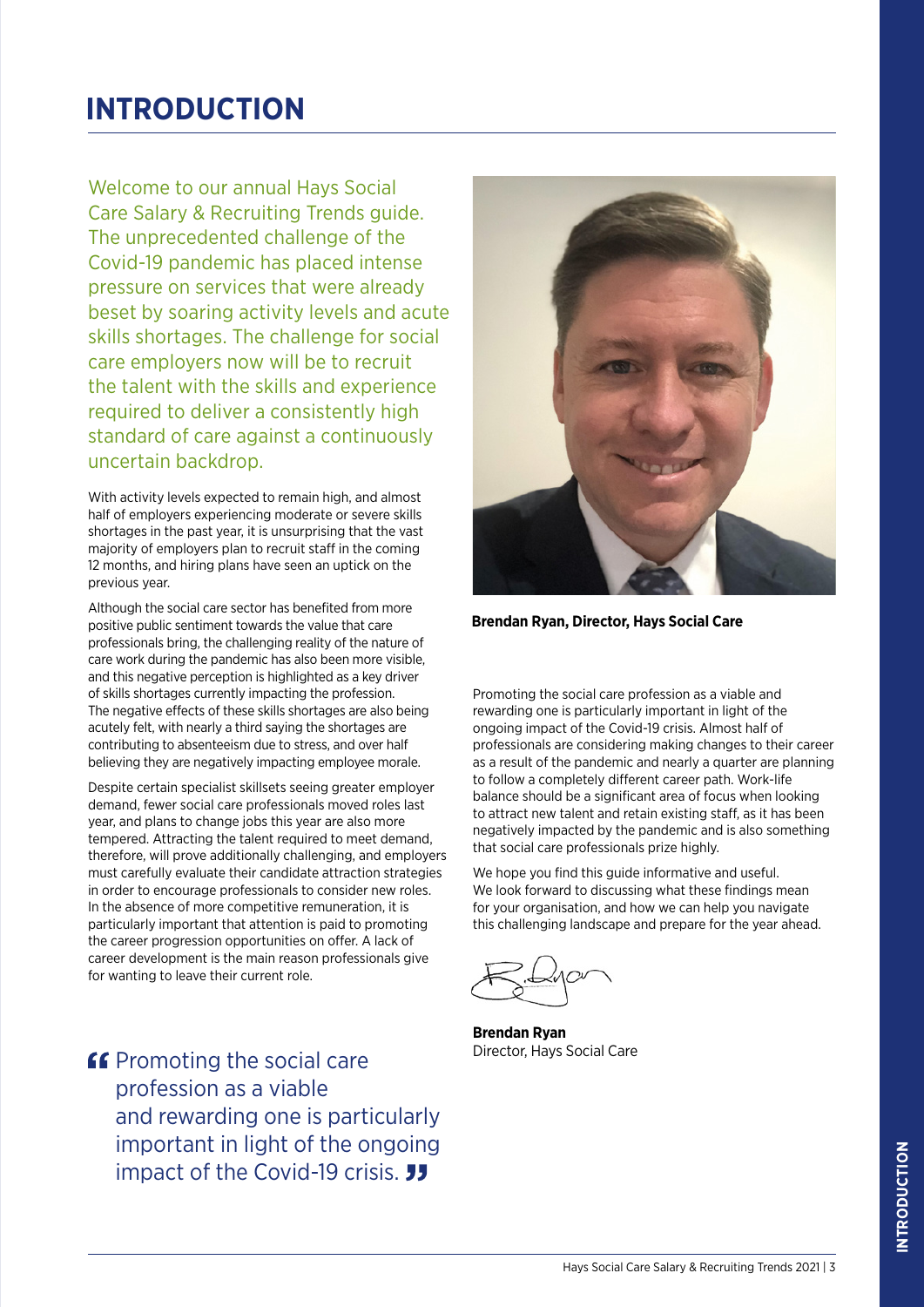# **INTRODUCTION**

Welcome to our annual Hays Social Care Salary & Recruiting Trends guide. The unprecedented challenge of the Covid-19 pandemic has placed intense pressure on services that were already beset by soaring activity levels and acute skills shortages. The challenge for social care employers now will be to recruit the talent with the skills and experience required to deliver a consistently high standard of care against a continuously uncertain backdrop.

With activity levels expected to remain high, and almost half of employers experiencing moderate or severe skills shortages in the past year, it is unsurprising that the vast majority of employers plan to recruit staff in the coming 12 months, and hiring plans have seen an uptick on the previous year.

Although the social care sector has benefited from more positive public sentiment towards the value that care professionals bring, the challenging reality of the nature of care work during the pandemic has also been more visible, and this negative perception is highlighted as a key driver of skills shortages currently impacting the profession. The negative effects of these skills shortages are also being acutely felt, with nearly a third saying the shortages are contributing to absenteeism due to stress, and over half believing they are negatively impacting employee morale.

Despite certain specialist skillsets seeing greater employer demand, fewer social care professionals moved roles last year, and plans to change jobs this year are also more tempered. Attracting the talent required to meet demand, therefore, will prove additionally challenging, and employers must carefully evaluate their candidate attraction strategies in order to encourage professionals to consider new roles. In the absence of more competitive remuneration, it is particularly important that attention is paid to promoting the career progression opportunities on offer. A lack of career development is the main reason professionals give for wanting to leave their current role.

**CO** Promoting the social care profession as a viable and rewarding one is particularly important in light of the ongoing impact of the Covid-19 crisis. **JJ** 



**Brendan Ryan, Director, Hays Social Care**

Promoting the social care profession as a viable and rewarding one is particularly important in light of the ongoing impact of the Covid-19 crisis. Almost half of professionals are considering making changes to their career as a result of the pandemic and nearly a quarter are planning to follow a completely different career path. Work-life balance should be a significant area of focus when looking to attract new talent and retain existing staff, as it has been negatively impacted by the pandemic and is also something that social care professionals prize highly.

We hope you find this guide informative and useful. We look forward to discussing what these findings mean for your organisation, and how we can help you navigate this challenging landscape and prepare for the year ahead.

**Brendan Ryan** Director, Hays Social Care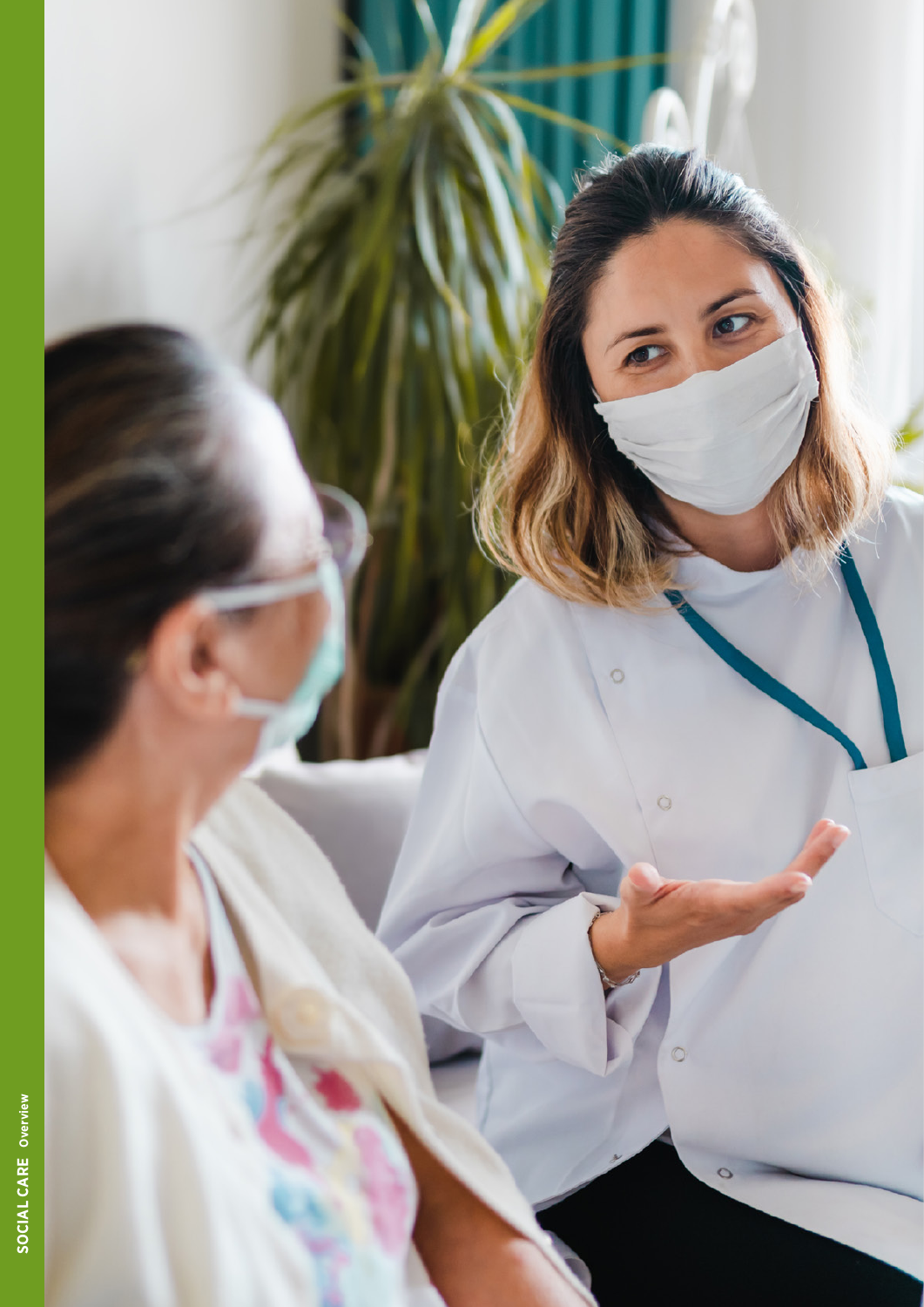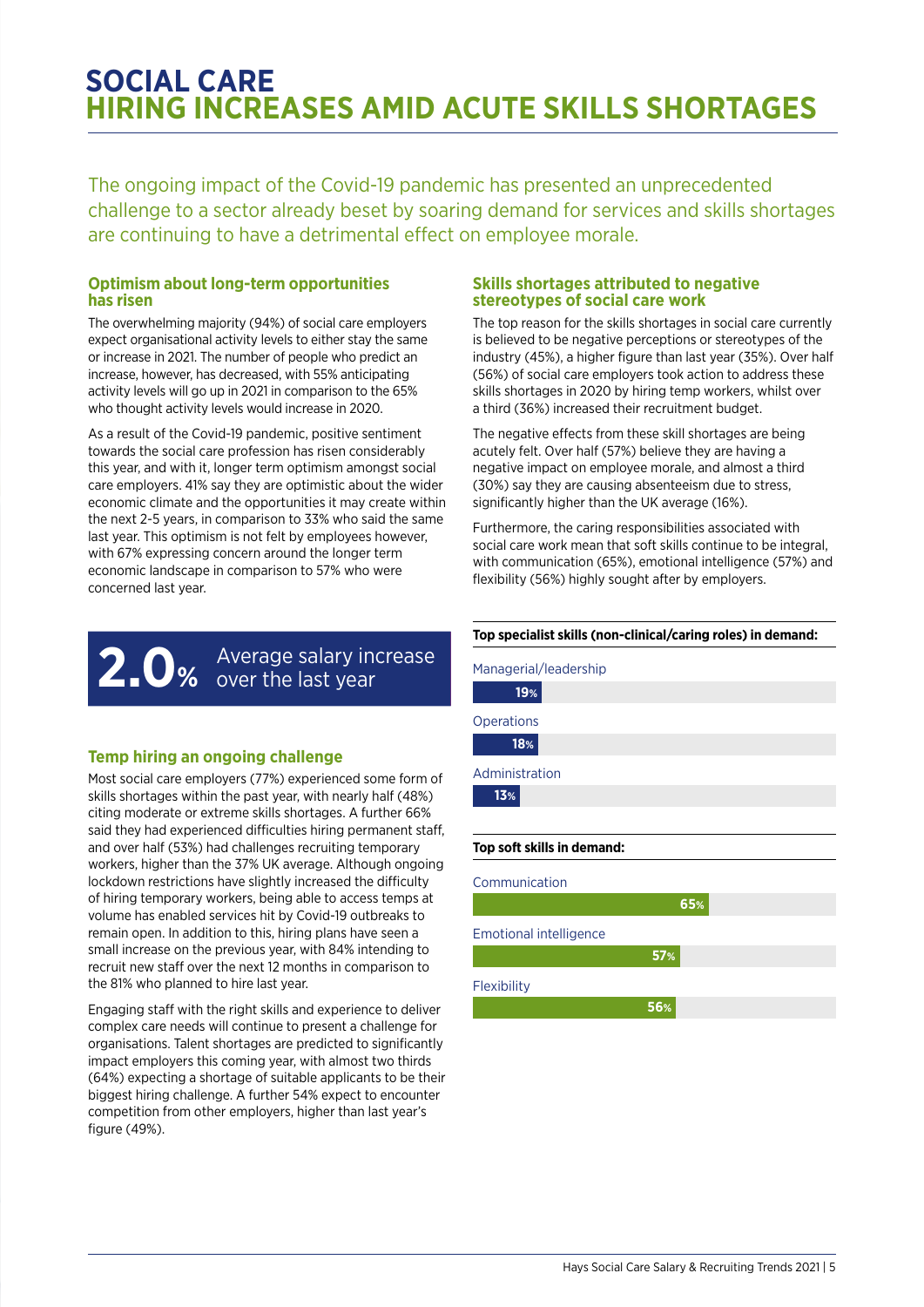### **SOCIAL CARE HIRING INCREASES AMID ACUTE SKILLS SHORTAGES**

The ongoing impact of the Covid-19 pandemic has presented an unprecedented challenge to a sector already beset by soaring demand for services and skills shortages are continuing to have a detrimental effect on employee morale.

#### **Optimism about long-term opportunities has risen**

The overwhelming majority (94%) of social care employers expect organisational activity levels to either stay the same or increase in 2021. The number of people who predict an increase, however, has decreased, with 55% anticipating activity levels will go up in 2021 in comparison to the 65% who thought activity levels would increase in 2020.

As a result of the Covid-19 pandemic, positive sentiment towards the social care profession has risen considerably this year, and with it, longer term optimism amongst social care employers. 41% say they are optimistic about the wider economic climate and the opportunities it may create within the next 2-5 years, in comparison to 33% who said the same last year. This optimism is not felt by employees however, with 67% expressing concern around the longer term economic landscape in comparison to 57% who were concerned last year.

### 2.0% Average salary increase over the last year

#### **Temp hiring an ongoing challenge**

Most social care employers (77%) experienced some form of skills shortages within the past year, with nearly half (48%) citing moderate or extreme skills shortages. A further 66% said they had experienced difficulties hiring permanent staff, and over half (53%) had challenges recruiting temporary workers, higher than the 37% UK average. Although ongoing lockdown restrictions have slightly increased the difficulty of hiring temporary workers, being able to access temps at volume has enabled services hit by Covid-19 outbreaks to remain open. In addition to this, hiring plans have seen a small increase on the previous year, with 84% intending to recruit new staff over the next 12 months in comparison to the 81% who planned to hire last year.

Engaging staff with the right skills and experience to deliver complex care needs will continue to present a challenge for organisations. Talent shortages are predicted to significantly impact employers this coming year, with almost two thirds (64%) expecting a shortage of suitable applicants to be their biggest hiring challenge. A further 54% expect to encounter competition from other employers, higher than last year's figure (49%).

#### **Skills shortages attributed to negative stereotypes of social care work**

The top reason for the skills shortages in social care currently is believed to be negative perceptions or stereotypes of the industry (45%), a higher figure than last year (35%). Over half (56%) of social care employers took action to address these skills shortages in 2020 by hiring temp workers, whilst over a third (36%) increased their recruitment budget.

The negative effects from these skill shortages are being acutely felt. Over half (57%) believe they are having a negative impact on employee morale, and almost a third (30%) say they are causing absenteeism due to stress, significantly higher than the UK average (16%).

Furthermore, the caring responsibilities associated with social care work mean that soft skills continue to be integral, with communication (65%), emotional intelligence (57%) and flexibility (56%) highly sought after by employers.

### **Top specialist skills (non-clinical/caring roles) in demand:**  Managerial/leadership **Operations** Administration **Top soft skills in demand:**  Communication Emotional intelligence Flexibility **19% 18% 13% 65% 57% 56%**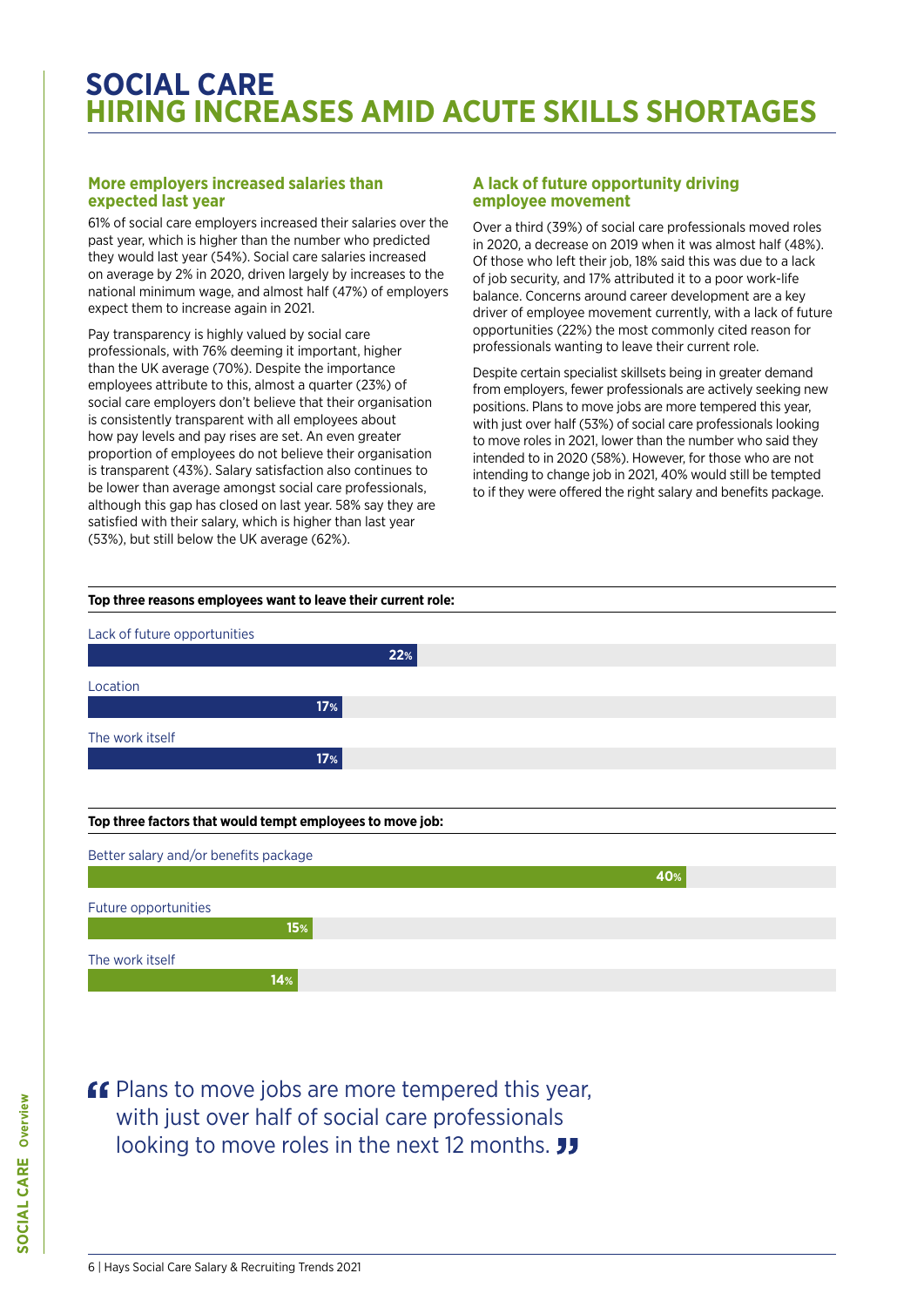#### **More employers increased salaries than expected last year**

61% of social care employers increased their salaries over the past year, which is higher than the number who predicted they would last year (54%). Social care salaries increased on average by 2% in 2020, driven largely by increases to the national minimum wage, and almost half (47%) of employers expect them to increase again in 2021.

Pay transparency is highly valued by social care professionals, with 76% deeming it important, higher than the UK average (70%). Despite the importance employees attribute to this, almost a quarter (23%) of social care employers don't believe that their organisation is consistently transparent with all employees about how pay levels and pay rises are set. An even greater proportion of employees do not believe their organisation is transparent (43%). Salary satisfaction also continues to be lower than average amongst social care professionals, although this gap has closed on last year. 58% say they are satisfied with their salary, which is higher than last year (53%), but still below the UK average (62%).

#### **A lack of future opportunity driving employee movement**

Over a third (39%) of social care professionals moved roles in 2020, a decrease on 2019 when it was almost half (48%). Of those who left their job, 18% said this was due to a lack of job security, and 17% attributed it to a poor work-life balance. Concerns around career development are a key driver of employee movement currently, with a lack of future opportunities (22%) the most commonly cited reason for professionals wanting to leave their current role.

Despite certain specialist skillsets being in greater demand from employers, fewer professionals are actively seeking new positions. Plans to move jobs are more tempered this year, with just over half (53%) of social care professionals looking to move roles in 2021, lower than the number who said they intended to in 2020 (58%). However, for those who are not intending to change job in 2021, 40% would still be tempted to if they were offered the right salary and benefits package.



**CO** Plans to move jobs are more tempered this year, with just over half of social care professionals looking to move roles in the next 12 months. **JJ**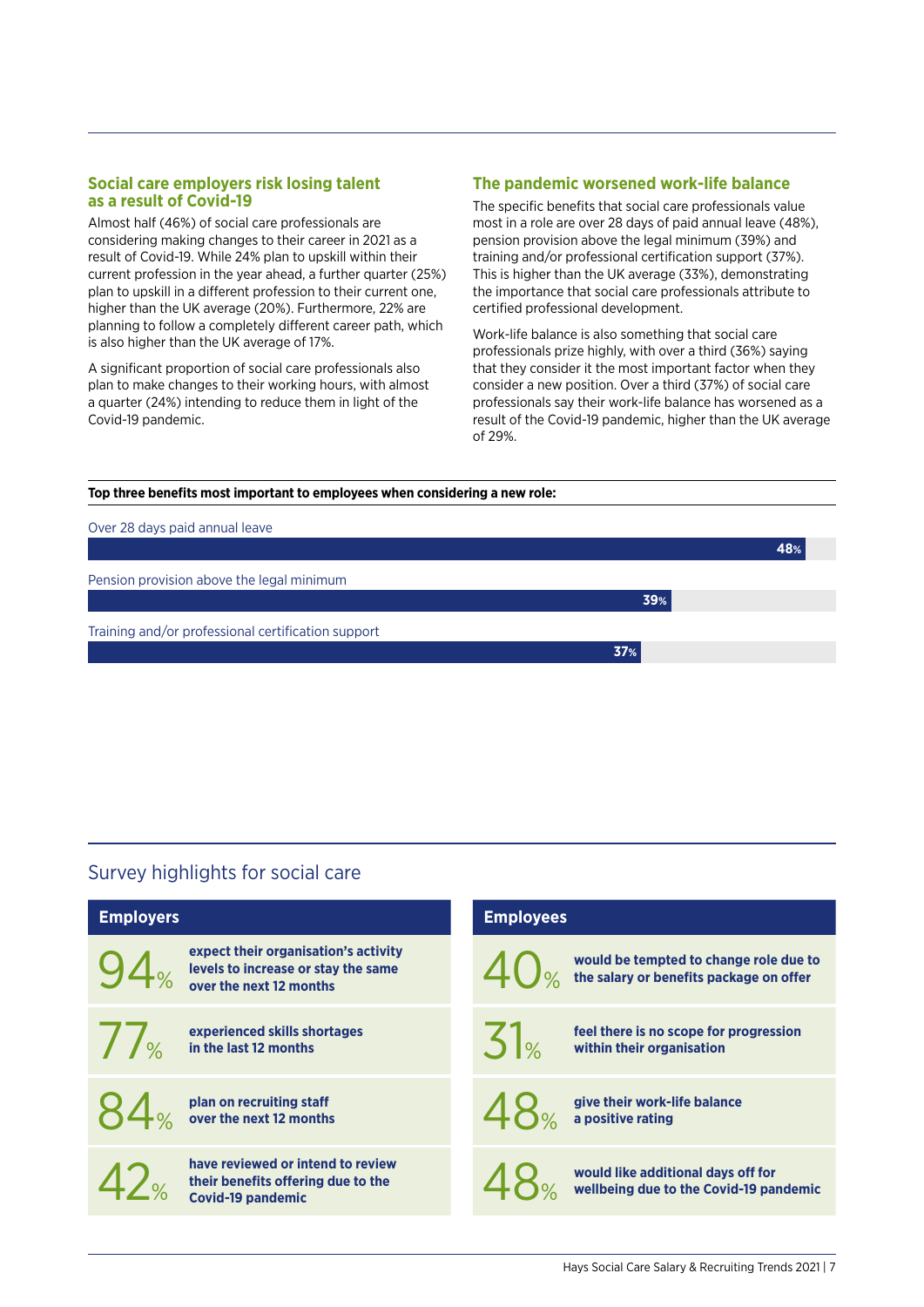#### **Social care employers risk losing talent as a result of Covid-19**

Almost half (46%) of social care professionals are considering making changes to their career in 2021 as a result of Covid-19. While 24% plan to upskill within their current profession in the year ahead, a further quarter (25%) plan to upskill in a different profession to their current one, higher than the UK average (20%). Furthermore, 22% are planning to follow a completely different career path, which is also higher than the UK average of 17%.

A significant proportion of social care professionals also plan to make changes to their working hours, with almost a quarter (24%) intending to reduce them in light of the Covid-19 pandemic.

#### **The pandemic worsened work-life balance**

The specific benefits that social care professionals value most in a role are over 28 days of paid annual leave (48%), pension provision above the legal minimum (39%) and training and/or professional certification support (37%). This is higher than the UK average (33%), demonstrating the importance that social care professionals attribute to certified professional development.

Work-life balance is also something that social care professionals prize highly, with over a third (36%) saying that they consider it the most important factor when they consider a new position. Over a third (37%) of social care professionals say their work-life balance has worsened as a result of the Covid-19 pandemic, higher than the UK average of 29%.



#### Survey highlights for social care

#### **Employers Employees** 94% **expect their organisation's activity levels to increase or stay the same**  expect their organisation's activity<br>levels to increase or stay the same<br>over the next 12 months **would be tempted to change role due to the salary or benefits package on offer** 77% experienced skills shortages<br>
in the last 12 months<br>  $\mathbf{31}_{\%}$ **feel there is no scope for progression within their organisation** 84% **plan on recruiting staff over the next 12 months give their work-life balance a positive rating** 42% **have reviewed or intend to review their benefits offering due to the**  have reviewed or intend to review<br>their benefits offering due to the<br>Covid-19 pandemic **would like additional days off for wellbeing due to the Covid-19 pandemic**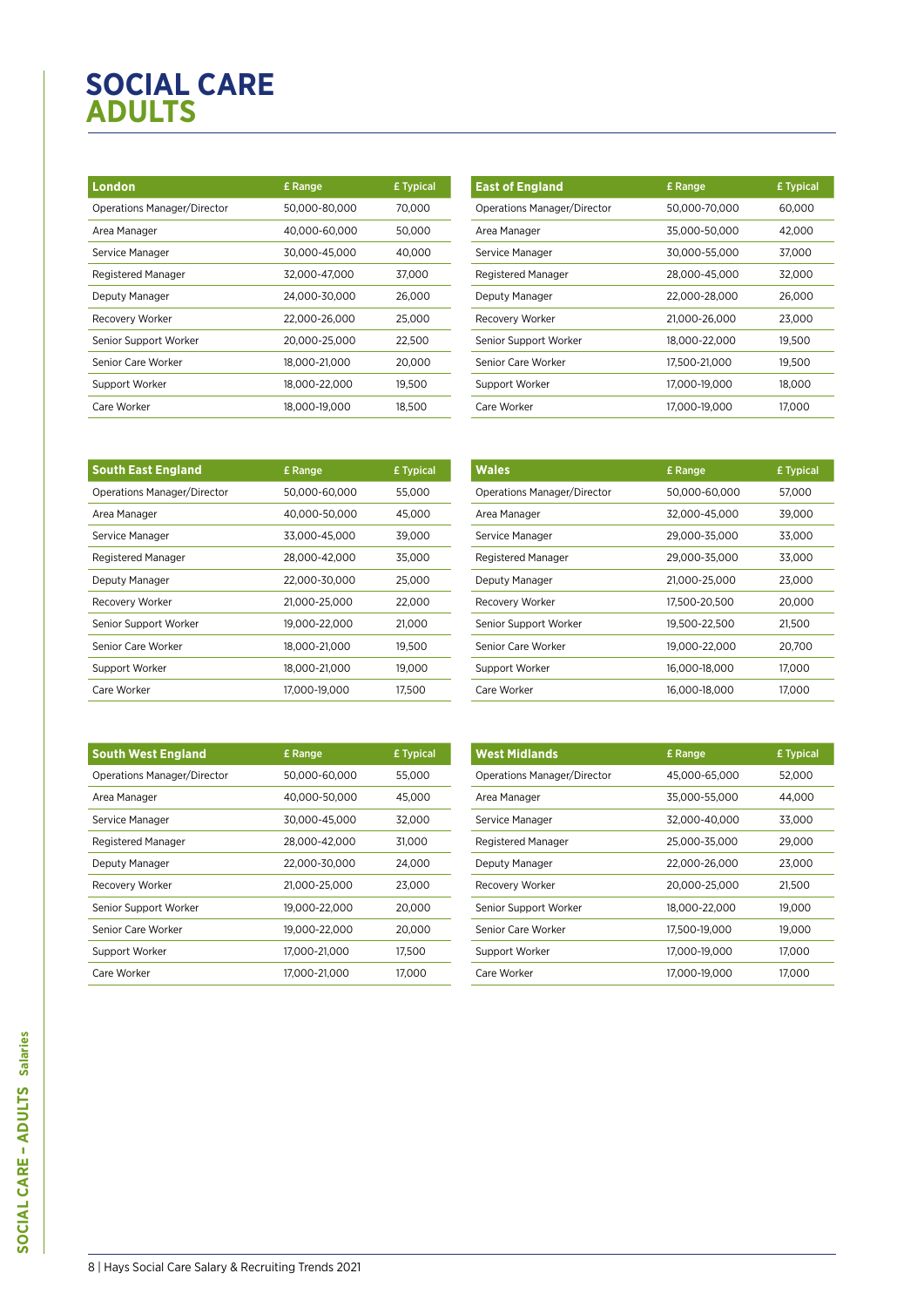## **SOCIAL CARE ADULTS**

| London                             | £ Range       | £ Typical |
|------------------------------------|---------------|-----------|
| <b>Operations Manager/Director</b> | 50,000-80,000 | 70.000    |
| Area Manager                       | 40.000-60.000 | 50.000    |
| Service Manager                    | 30.000-45.000 | 40.000    |
| Registered Manager                 | 32.000-47.000 | 37.000    |
| Deputy Manager                     | 24.000-30.000 | 26,000    |
| Recovery Worker                    | 22,000-26,000 | 25,000    |
| Senior Support Worker              | 20.000-25.000 | 22.500    |
| Senior Care Worker                 | 18,000-21,000 | 20,000    |
| Support Worker                     | 18,000-22,000 | 19.500    |
| Care Worker                        | 18.000-19.000 | 18.500    |
|                                    |               |           |

| <b>East of England</b>             | £ Range       | £ Typical |
|------------------------------------|---------------|-----------|
| <b>Operations Manager/Director</b> | 50.000-70.000 | 60.000    |
| Area Manager                       | 35.000-50.000 | 42.000    |
| Service Manager                    | 30.000-55.000 | 37.000    |
| Registered Manager                 | 28,000-45,000 | 32,000    |
| Deputy Manager                     | 22,000-28,000 | 26.000    |
| Recovery Worker                    | 21,000-26,000 | 23.000    |
| Senior Support Worker              | 18,000-22,000 | 19.500    |
| Senior Care Worker                 | 17.500-21.000 | 19.500    |
| Support Worker                     | 17,000-19,000 | 18,000    |
| Care Worker                        | 17.000-19.000 | 17.000    |

| £ Range       | £ Typical |
|---------------|-----------|
| 50.000-60.000 | 55.000    |
| 40.000-50.000 | 45.000    |
| 33.000-45.000 | 39.000    |
| 28.000-42.000 | 35.000    |
| 22,000-30,000 | 25.000    |
| 21,000-25,000 | 22.000    |
| 19,000-22,000 | 21.000    |
| 18,000-21,000 | 19.500    |
| 18.000-21.000 | 19.000    |
| 17.000-19.000 | 17.500    |
|               |           |

| <b>South West England</b>          | £ Range       | <b>£</b> Typical |
|------------------------------------|---------------|------------------|
| <b>Operations Manager/Director</b> | 50.000-60.000 | 55.000           |
| Area Manager                       | 40,000-50,000 | 45.000           |
| Service Manager                    | 30.000-45.000 | 32.000           |
| <b>Registered Manager</b>          | 28,000-42,000 | 31.000           |
| Deputy Manager                     | 22.000-30.000 | 24.000           |
| Recovery Worker                    | 21.000-25.000 | 23,000           |
| Senior Support Worker              | 19.000-22.000 | 20.000           |
| Senior Care Worker                 | 19,000-22,000 | 20,000           |
| Support Worker                     | 17.000-21.000 | 17.500           |
| Care Worker                        | 17.000-21.000 | 17.000           |

| <b>Wales</b>                       | £ Range       | <b>£ Typical</b> |
|------------------------------------|---------------|------------------|
| <b>Operations Manager/Director</b> | 50.000-60.000 | 57.000           |
| Area Manager                       | 32.000-45.000 | 39,000           |
| Service Manager                    | 29.000-35.000 | 33,000           |
| Registered Manager                 | 29.000-35.000 | 33.000           |
| Deputy Manager                     | 21.000-25.000 | 23.000           |
| Recovery Worker                    | 17.500-20.500 | 20.000           |
| Senior Support Worker              | 19,500-22,500 | 21.500           |
| Senior Care Worker                 | 19.000-22.000 | 20,700           |
| Support Worker                     | 16,000-18,000 | 17.000           |
| Care Worker                        | 16.000-18.000 | 17.000           |

| <b>West Midlands</b>               | £ Range       | <b>£ Typical</b> |
|------------------------------------|---------------|------------------|
| <b>Operations Manager/Director</b> | 45.000-65.000 | 52,000           |
| Area Manager                       | 35.000-55.000 | 44.000           |
| Service Manager                    | 32.000-40.000 | 33.000           |
| Registered Manager                 | 25,000-35,000 | 29,000           |
| Deputy Manager                     | 22,000-26,000 | 23,000           |
| Recovery Worker                    | 20,000-25,000 | 21,500           |
| Senior Support Worker              | 18.000-22.000 | 19.000           |
| Senior Care Worker                 | 17.500-19.000 | 19.000           |
| Support Worker                     | 17.000-19.000 | 17.000           |
| Care Worker                        | 17.000-19.000 | 17.000           |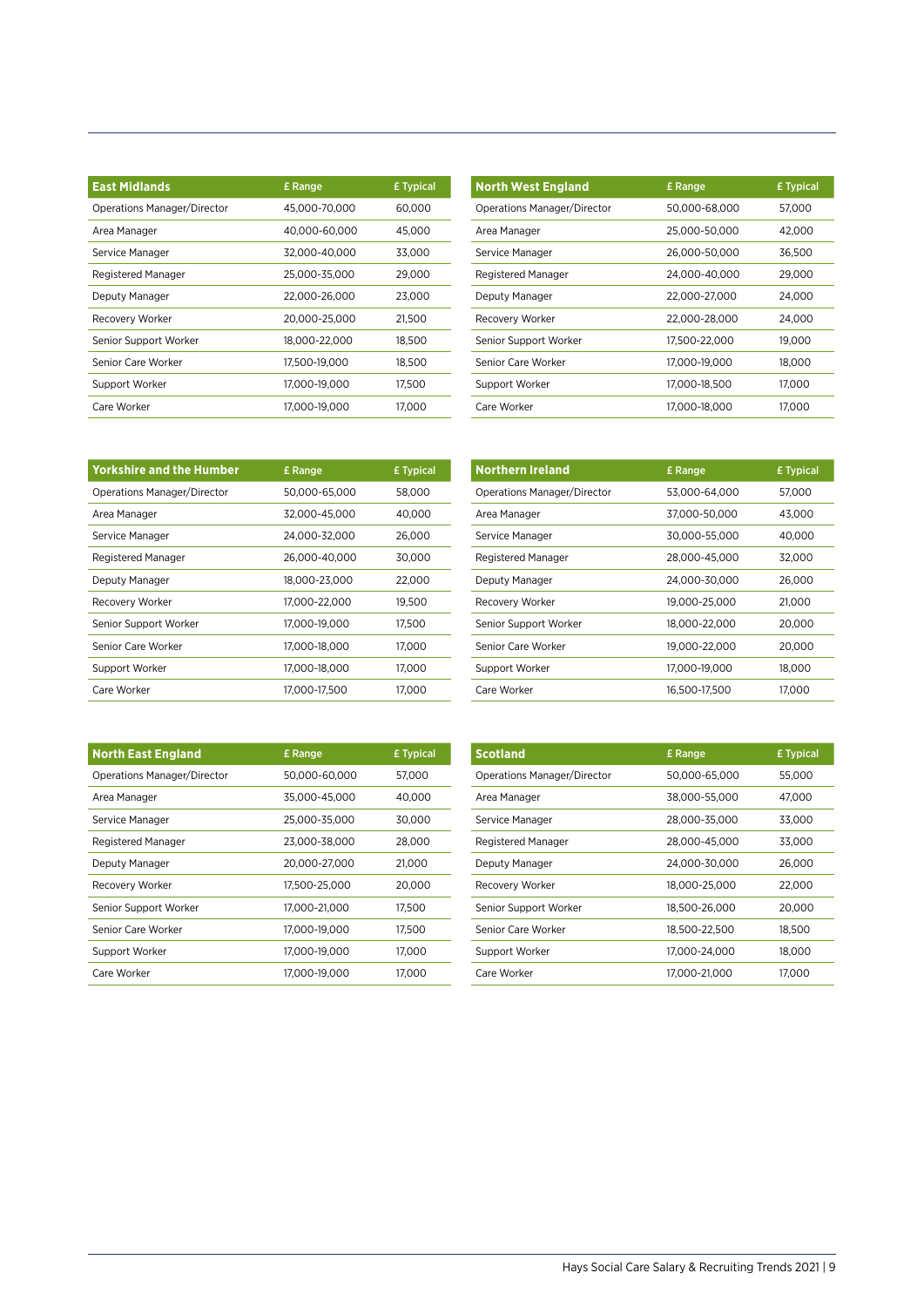| <b>East Midlands</b>               | £ Range       | £ Typical |
|------------------------------------|---------------|-----------|
| <b>Operations Manager/Director</b> | 45,000-70,000 | 60,000    |
| Area Manager                       | 40,000-60,000 | 45.000    |
| Service Manager                    | 32.000-40.000 | 33.000    |
| Registered Manager                 | 25.000-35.000 | 29,000    |
| Deputy Manager                     | 22,000-26,000 | 23.000    |
| Recovery Worker                    | 20.000-25.000 | 21.500    |
| Senior Support Worker              | 18,000-22,000 | 18,500    |
| Senior Care Worker                 | 17.500-19.000 | 18,500    |
| Support Worker                     | 17.000-19.000 | 17.500    |
| Care Worker                        | 17.000-19.000 | 17.000    |

| 57.000<br>42.000 |
|------------------|
|                  |
|                  |
| 36.500           |
| 29.000           |
| 24.000           |
| 24.000           |
| 19.000           |
| 18.000           |
| 17.000           |
| 17.000           |
|                  |

| <b>Yorkshire and the Humber</b>    | £ Range       | £ Typical |
|------------------------------------|---------------|-----------|
| <b>Operations Manager/Director</b> | 50.000-65.000 | 58.000    |
| Area Manager                       | 32.000-45.000 | 40.000    |
| Service Manager                    | 24.000-32.000 | 26.000    |
| Registered Manager                 | 26.000-40.000 | 30.000    |
| Deputy Manager                     | 18,000-23,000 | 22,000    |
| Recovery Worker                    | 17.000-22.000 | 19.500    |
| Senior Support Worker              | 17.000-19.000 | 17.500    |
| Senior Care Worker                 | 17.000-18.000 | 17.000    |
| Support Worker                     | 17.000-18.000 | 17.000    |
| Care Worker                        | 17.000-17.500 | 17.000    |

| <b>North East England</b>   | £ Range       | £ Typical |
|-----------------------------|---------------|-----------|
| Operations Manager/Director | 50,000-60,000 | 57,000    |
| Area Manager                | 35.000-45.000 | 40.000    |
| Service Manager             | 25.000-35.000 | 30.000    |
| Registered Manager          | 23.000-38.000 | 28,000    |
| Deputy Manager              | 20,000-27,000 | 21,000    |
| Recovery Worker             | 17,500-25,000 | 20,000    |
| Senior Support Worker       | 17,000-21,000 | 17.500    |
| Senior Care Worker          | 17.000-19.000 | 17.500    |
| Support Worker              | 17.000-19.000 | 17.000    |
| Care Worker                 | 17.000-19.000 | 17.000    |

| <b>Northern Ireland</b>            | £ Range       | £ Typical |
|------------------------------------|---------------|-----------|
| <b>Operations Manager/Director</b> | 53.000-64.000 | 57.000    |
| Area Manager                       | 37,000-50,000 | 43.000    |
| Service Manager                    | 30.000-55.000 | 40.000    |
| Registered Manager                 | 28,000-45,000 | 32.000    |
| Deputy Manager                     | 24.000-30.000 | 26.000    |
| Recovery Worker                    | 19.000-25.000 | 21.000    |
| Senior Support Worker              | 18,000-22,000 | 20,000    |
| Senior Care Worker                 | 19.000-22.000 | 20,000    |
| Support Worker                     | 17,000-19,000 | 18,000    |
| Care Worker                        | 16.500-17.500 | 17.000    |

| <b>Scotland</b>             | £ Range       | £ Typical |
|-----------------------------|---------------|-----------|
| Operations Manager/Director | 50.000-65.000 | 55,000    |
| Area Manager                | 38,000-55,000 | 47.000    |
| Service Manager             | 28.000-35.000 | 33.000    |
| Registered Manager          | 28.000-45.000 | 33.000    |
| Deputy Manager              | 24.000-30.000 | 26.000    |
| Recovery Worker             | 18.000-25.000 | 22.000    |
| Senior Support Worker       | 18.500-26.000 | 20.000    |
| Senior Care Worker          | 18,500-22,500 | 18,500    |
| Support Worker              | 17,000-24,000 | 18,000    |
| Care Worker                 | 17.000-21.000 | 17.000    |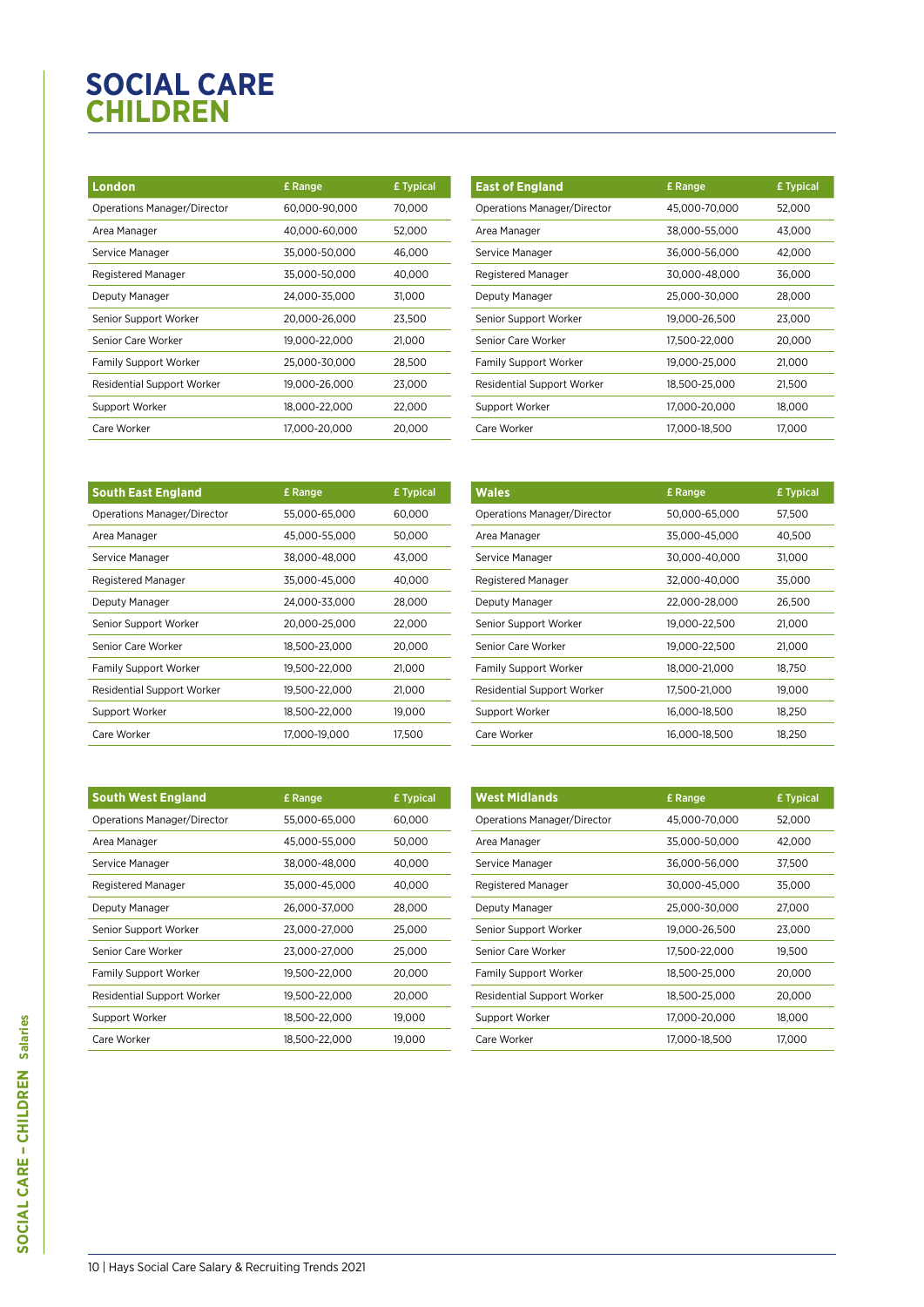### **SOCIAL CARE CHILDREN**

| London                       | £ Range       | £ Typical |
|------------------------------|---------------|-----------|
| Operations Manager/Director  | 60.000-90.000 | 70.000    |
| Area Manager                 | 40.000-60.000 | 52.000    |
| Service Manager              | 35.000-50.000 | 46.000    |
| Registered Manager           | 35,000-50,000 | 40,000    |
| Deputy Manager               | 24.000-35.000 | 31.000    |
| Senior Support Worker        | 20.000-26.000 | 23.500    |
| Senior Care Worker           | 19,000-22,000 | 21,000    |
| <b>Family Support Worker</b> | 25,000-30,000 | 28,500    |
| Residential Support Worker   | 19,000-26,000 | 23,000    |
| Support Worker               | 18,000-22,000 | 22,000    |
| Care Worker                  | 17.000-20.000 | 20,000    |

| <b>East of England</b>       | £ Range       | £ Typical |
|------------------------------|---------------|-----------|
| Operations Manager/Director  | 45,000-70,000 | 52,000    |
| Area Manager                 | 38,000-55,000 | 43.000    |
| Service Manager              | 36.000-56.000 | 42.000    |
| Registered Manager           | 30,000-48,000 | 36,000    |
| Deputy Manager               | 25.000-30.000 | 28,000    |
| Senior Support Worker        | 19,000-26,500 | 23,000    |
| Senior Care Worker           | 17,500-22,000 | 20.000    |
| <b>Family Support Worker</b> | 19,000-25,000 | 21.000    |
| Residential Support Worker   | 18,500-25,000 | 21,500    |
| Support Worker               | 17,000-20,000 | 18,000    |
| Care Worker                  | 17.000-18.500 | 17.000    |

| <b>South East England</b>         | £ Range       | £ Typical |
|-----------------------------------|---------------|-----------|
| Operations Manager/Director       | 55,000-65,000 | 60,000    |
| Area Manager                      | 45,000-55,000 | 50.000    |
| Service Manager                   | 38,000-48,000 | 43.000    |
| Registered Manager                | 35,000-45,000 | 40,000    |
| Deputy Manager                    | 24,000-33,000 | 28,000    |
| Senior Support Worker             | 20.000-25.000 | 22,000    |
| Senior Care Worker                | 18.500-23.000 | 20,000    |
| <b>Family Support Worker</b>      | 19,500-22,000 | 21,000    |
| <b>Residential Support Worker</b> | 19,500-22,000 | 21,000    |
| Support Worker                    | 18,500-22,000 | 19,000    |
| Care Worker                       | 17,000-19,000 | 17,500    |
|                                   |               |           |

| <b>Wales</b>                      | £ Range       | <b>£ Typical</b> |
|-----------------------------------|---------------|------------------|
| Operations Manager/Director       | 50,000-65,000 | 57,500           |
| Area Manager                      | 35,000-45,000 | 40,500           |
| Service Manager                   | 30,000-40,000 | 31,000           |
| Registered Manager                | 32,000-40,000 | 35,000           |
| Deputy Manager                    | 22.000-28.000 | 26,500           |
| Senior Support Worker             | 19.000-22.500 | 21.000           |
| Senior Care Worker                | 19,000-22,500 | 21,000           |
| <b>Family Support Worker</b>      | 18,000-21,000 | 18,750           |
| <b>Residential Support Worker</b> | 17,500-21,000 | 19,000           |
| Support Worker                    | 16,000-18,500 | 18,250           |
| Care Worker                       | 16,000-18,500 | 18,250           |
|                                   |               |                  |

| <b>South West England</b>         | £ Range       | £ Typical |
|-----------------------------------|---------------|-----------|
| Operations Manager/Director       | 55,000-65,000 | 60.000    |
| Area Manager                      | 45,000-55,000 | 50,000    |
| Service Manager                   | 38.000-48.000 | 40,000    |
| Registered Manager                | 35.000-45.000 | 40.000    |
| Deputy Manager                    | 26,000-37,000 | 28,000    |
| Senior Support Worker             | 23.000-27.000 | 25.000    |
| Senior Care Worker                | 23,000-27,000 | 25.000    |
| <b>Family Support Worker</b>      | 19,500-22,000 | 20,000    |
| <b>Residential Support Worker</b> | 19,500-22,000 | 20,000    |
| Support Worker                    | 18,500-22,000 | 19.000    |
| Care Worker                       | 18,500-22,000 | 19,000    |

| <b>West Midlands</b>         | £ Range       | £ Typical |
|------------------------------|---------------|-----------|
| Operations Manager/Director  | 45,000-70,000 | 52,000    |
| Area Manager                 | 35,000-50,000 | 42.000    |
| Service Manager              | 36,000-56,000 | 37,500    |
| Registered Manager           | 30,000-45,000 | 35,000    |
| Deputy Manager               | 25,000-30,000 | 27,000    |
| Senior Support Worker        | 19,000-26,500 | 23,000    |
| Senior Care Worker           | 17,500-22,000 | 19,500    |
| <b>Family Support Worker</b> | 18,500-25,000 | 20,000    |
| Residential Support Worker   | 18,500-25,000 | 20,000    |
| Support Worker               | 17,000-20,000 | 18.000    |
| Care Worker                  | 17.000-18.500 | 17.000    |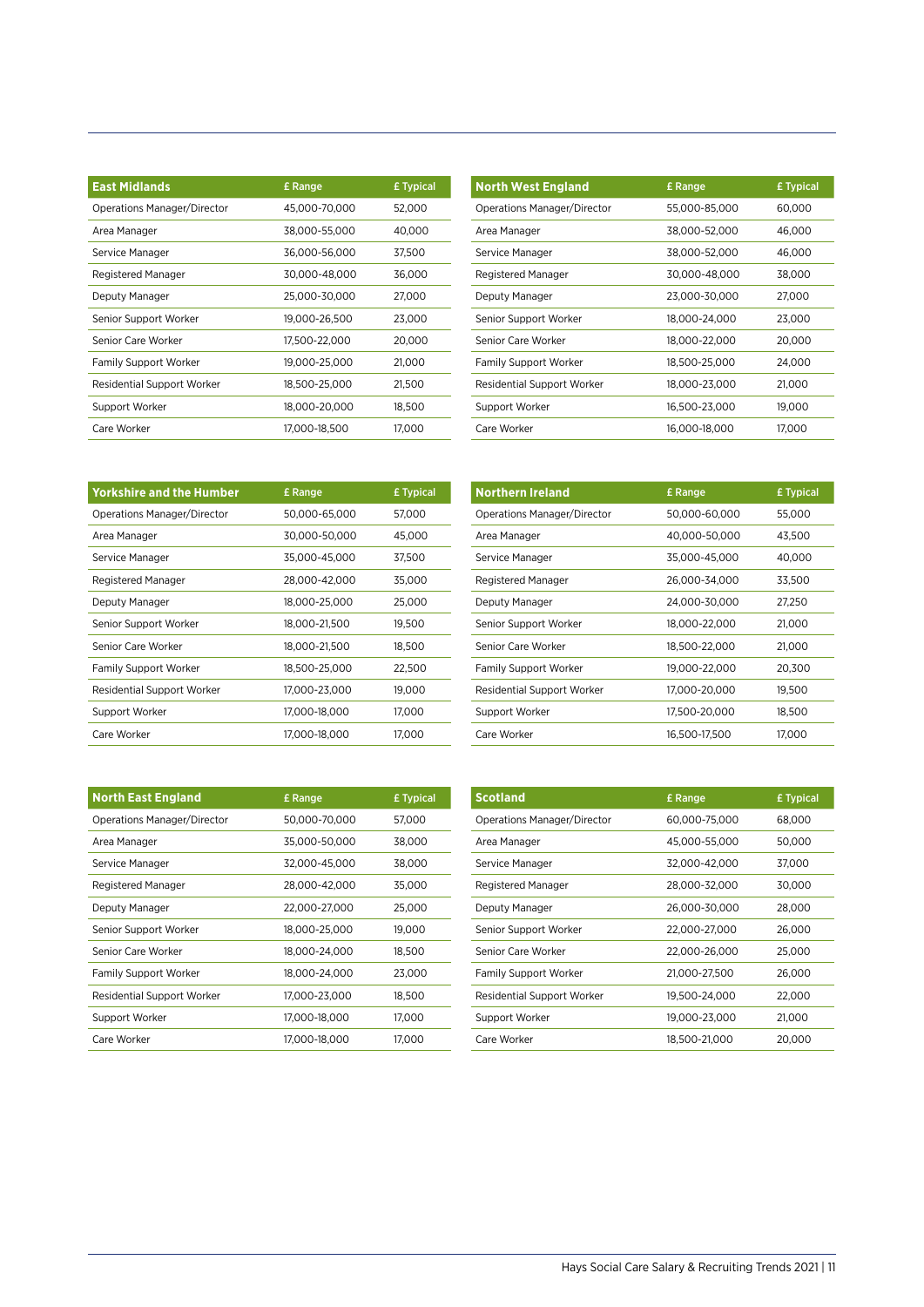| <b>East Midlands</b>               | £ Range       | £ Typical |
|------------------------------------|---------------|-----------|
| <b>Operations Manager/Director</b> | 45.000-70.000 | 52.000    |
| Area Manager                       | 38,000-55,000 | 40,000    |
| Service Manager                    | 36,000-56,000 | 37,500    |
| Registered Manager                 | 30.000-48.000 | 36,000    |
| Deputy Manager                     | 25.000-30.000 | 27.000    |
| Senior Support Worker              | 19,000-26,500 | 23,000    |
| Senior Care Worker                 | 17.500-22.000 | 20,000    |
| <b>Family Support Worker</b>       | 19,000-25,000 | 21,000    |
| Residential Support Worker         | 18,500-25,000 | 21,500    |
| Support Worker                     | 18,000-20,000 | 18,500    |
| Care Worker                        | 17.000-18.500 | 17.000    |

| <b>North West England</b>    | £ Range       | £ Typical |
|------------------------------|---------------|-----------|
| Operations Manager/Director  | 55,000-85,000 | 60,000    |
| Area Manager                 | 38.000-52.000 | 46.000    |
| Service Manager              | 38,000-52,000 | 46.000    |
| Registered Manager           | 30,000-48,000 | 38,000    |
| Deputy Manager               | 23,000-30,000 | 27,000    |
| Senior Support Worker        | 18.000-24.000 | 23.000    |
| Senior Care Worker           | 18.000-22.000 | 20.000    |
| <b>Family Support Worker</b> | 18,500-25,000 | 24.000    |
| Residential Support Worker   | 18,000-23,000 | 21,000    |
| Support Worker               | 16,500-23,000 | 19,000    |
| Care Worker                  | 16.000-18.000 | 17.000    |

| <b>Yorkshire and the Humber</b>    | £ Range       | £ Typical |
|------------------------------------|---------------|-----------|
| <b>Operations Manager/Director</b> | 50,000-65,000 | 57,000    |
| Area Manager                       | 30,000-50,000 | 45.000    |
| Service Manager                    | 35,000-45,000 | 37,500    |
| Registered Manager                 | 28,000-42,000 | 35,000    |
| Deputy Manager                     | 18,000-25,000 | 25,000    |
| Senior Support Worker              | 18,000-21,500 | 19,500    |
| Senior Care Worker                 | 18,000-21,500 | 18,500    |
| <b>Family Support Worker</b>       | 18.500-25.000 | 22,500    |
| Residential Support Worker         | 17,000-23,000 | 19,000    |
| Support Worker                     | 17,000-18,000 | 17,000    |
| Care Worker                        | 17,000-18,000 | 17,000    |
|                                    |               |           |

| <b>Northern Ireland</b>      | £ Range       | £ Typical |
|------------------------------|---------------|-----------|
| Operations Manager/Director  | 50,000-60,000 | 55,000    |
| Area Manager                 | 40,000-50,000 | 43,500    |
| Service Manager              | 35,000-45,000 | 40,000    |
| Registered Manager           | 26,000-34,000 | 33,500    |
| Deputy Manager               | 24,000-30,000 | 27.250    |
| Senior Support Worker        | 18,000-22,000 | 21,000    |
| Senior Care Worker           | 18,500-22,000 | 21.000    |
| <b>Family Support Worker</b> | 19,000-22,000 | 20,300    |
| Residential Support Worker   | 17,000-20,000 | 19,500    |
| Support Worker               | 17.500-20.000 | 18,500    |
| Care Worker                  | 16,500-17,500 | 17,000    |
|                              |               |           |

| <b>North East England</b>    | £ Range       | <b>£</b> Typical |
|------------------------------|---------------|------------------|
| Operations Manager/Director  | 50,000-70,000 | 57,000           |
| Area Manager                 | 35,000-50,000 | 38,000           |
| Service Manager              | 32,000-45,000 | 38,000           |
| Registered Manager           | 28,000-42,000 | 35,000           |
| Deputy Manager               | 22,000-27,000 | 25,000           |
| Senior Support Worker        | 18,000-25,000 | 19,000           |
| Senior Care Worker           | 18,000-24,000 | 18,500           |
| <b>Family Support Worker</b> | 18,000-24,000 | 23,000           |
| Residential Support Worker   | 17,000-23,000 | 18,500           |
| Support Worker               | 17,000-18,000 | 17,000           |
| Care Worker                  | 17.000-18.000 | 17.000           |

| <b>Scotland</b>                    | £ Range       | £ Typical |
|------------------------------------|---------------|-----------|
| <b>Operations Manager/Director</b> | 60,000-75,000 | 68,000    |
| Area Manager                       | 45,000-55,000 | 50,000    |
| Service Manager                    | 32,000-42,000 | 37,000    |
| Registered Manager                 | 28.000-32.000 | 30.000    |
| Deputy Manager                     | 26.000-30.000 | 28,000    |
| Senior Support Worker              | 22.000-27.000 | 26,000    |
| Senior Care Worker                 | 22.000-26.000 | 25,000    |
| <b>Family Support Worker</b>       | 21,000-27,500 | 26,000    |
| <b>Residential Support Worker</b>  | 19.500-24.000 | 22,000    |
| Support Worker                     | 19,000-23,000 | 21,000    |
| Care Worker                        | 18,500-21,000 | 20,000    |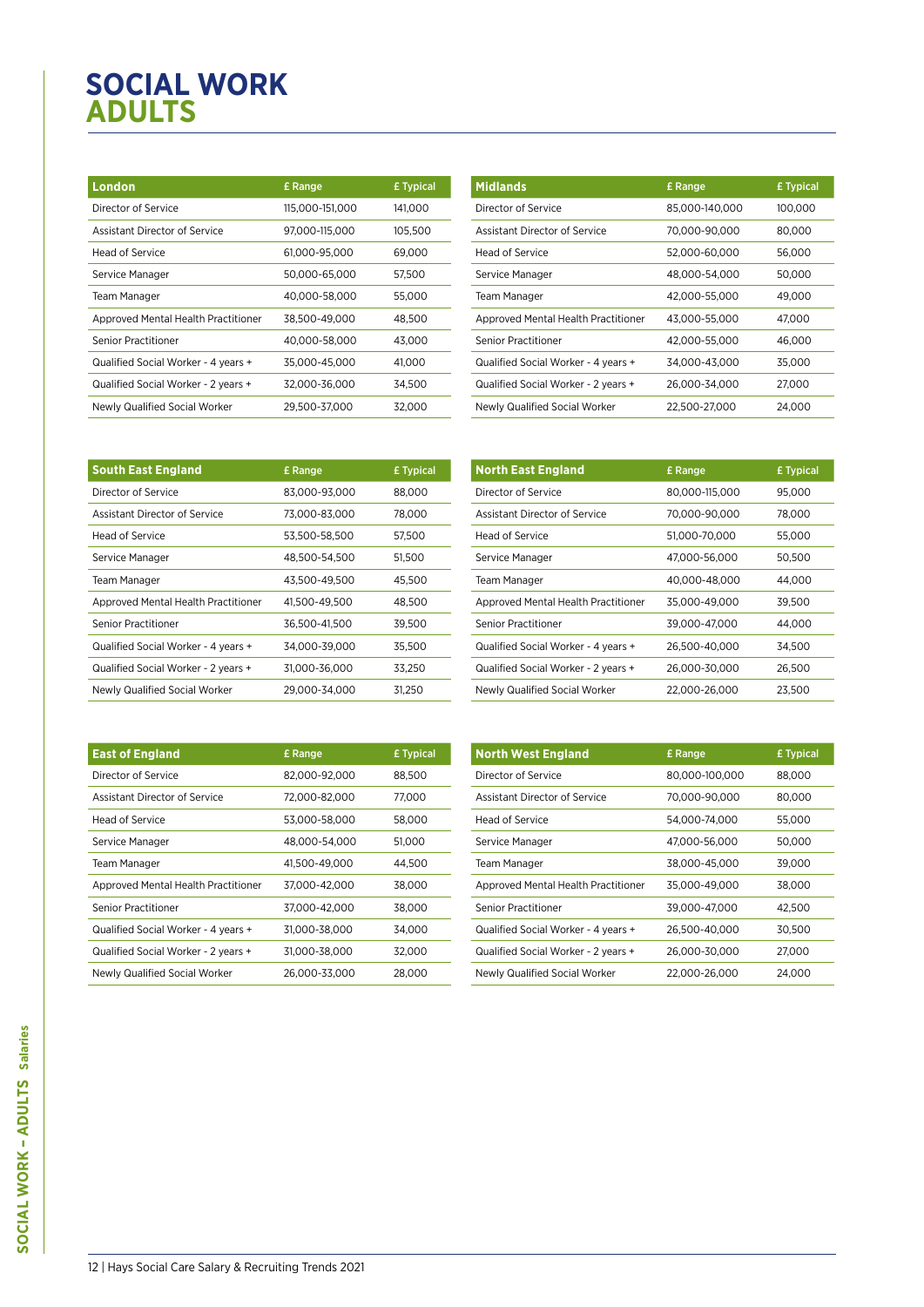## **SOCIAL WORK ADULTS**

| London                              | £ Range         | £ Typical |
|-------------------------------------|-----------------|-----------|
| Director of Service                 | 115.000-151.000 | 141.000   |
| Assistant Director of Service       | 97,000-115,000  | 105,500   |
| Head of Service                     | 61,000-95,000   | 69.000    |
| Service Manager                     | 50.000-65.000   | 57.500    |
| Team Manager                        | 40,000-58,000   | 55,000    |
| Approved Mental Health Practitioner | 38.500-49.000   | 48.500    |
| Senior Practitioner                 | 40.000-58.000   | 43.000    |
| Qualified Social Worker - 4 years + | 35,000-45,000   | 41.000    |
| Qualified Social Worker - 2 years + | 32.000-36.000   | 34.500    |
| Newly Qualified Social Worker       | 29,500-37,000   | 32,000    |

| <b>Midlands</b>                     | £ Range        | £ Typical |
|-------------------------------------|----------------|-----------|
| Director of Service                 | 85.000-140.000 | 100.000   |
| Assistant Director of Service       | 70,000-90,000  | 80,000    |
| Head of Service                     | 52.000-60.000  | 56.000    |
| Service Manager                     | 48,000-54,000  | 50,000    |
| Team Manager                        | 42,000-55,000  | 49.000    |
| Approved Mental Health Practitioner | 43.000-55.000  | 47.000    |
| Senior Practitioner                 | 42,000-55,000  | 46.000    |
| Qualified Social Worker - 4 years + | 34.000-43.000  | 35.000    |
| Qualified Social Worker - 2 years + | 26.000-34.000  | 27,000    |
| Newly Qualified Social Worker       | 22,500-27,000  | 24.000    |

| <b>South East England</b>           | £ Range       | £ Typical |
|-------------------------------------|---------------|-----------|
| Director of Service                 | 83.000-93.000 | 88,000    |
| Assistant Director of Service       | 73.000-83.000 | 78,000    |
| Head of Service                     | 53,500-58,500 | 57,500    |
| Service Manager                     | 48,500-54,500 | 51,500    |
| Team Manager                        | 43,500-49,500 | 45,500    |
| Approved Mental Health Practitioner | 41.500-49.500 | 48.500    |
| Senior Practitioner                 | 36.500-41.500 | 39,500    |
| Qualified Social Worker - 4 years + | 34.000-39.000 | 35.500    |
| Qualified Social Worker - 2 years + | 31.000-36.000 | 33.250    |
| Newly Qualified Social Worker       | 29.000-34.000 | 31.250    |

| <b>East of England</b>              | £ Range       | £ Typical |
|-------------------------------------|---------------|-----------|
| Director of Service                 | 82,000-92,000 | 88.500    |
| Assistant Director of Service       | 72.000-82.000 | 77.000    |
| Head of Service                     | 53,000-58,000 | 58,000    |
| Service Manager                     | 48.000-54.000 | 51.000    |
| <b>Team Manager</b>                 | 41.500-49.000 | 44.500    |
| Approved Mental Health Practitioner | 37,000-42,000 | 38,000    |
| Senior Practitioner                 | 37.000-42.000 | 38.000    |
| Qualified Social Worker - 4 years + | 31.000-38.000 | 34.000    |
| Qualified Social Worker - 2 years + | 31,000-38,000 | 32,000    |
| Newly Qualified Social Worker       | 26.000-33.000 | 28,000    |

| <b>North East England</b>           | £ Range        | £ Typical |
|-------------------------------------|----------------|-----------|
| Director of Service                 | 80,000-115,000 | 95,000    |
| Assistant Director of Service       | 70.000-90.000  | 78.000    |
| Head of Service                     | 51,000-70,000  | 55.000    |
| Service Manager                     | 47,000-56,000  | 50,500    |
| Team Manager                        | 40.000-48.000  | 44.000    |
| Approved Mental Health Practitioner | 35,000-49,000  | 39,500    |
| <b>Senior Practitioner</b>          | 39.000-47.000  | 44,000    |
| Qualified Social Worker - 4 years + | 26.500-40.000  | 34.500    |
| Qualified Social Worker - 2 years + | 26,000-30,000  | 26,500    |
| Newly Qualified Social Worker       | 22.000-26.000  | 23.500    |

| <b>North West England</b>           | £ Range        | £ Typical |
|-------------------------------------|----------------|-----------|
| Director of Service                 | 80,000-100,000 | 88,000    |
| Assistant Director of Service       | 70.000-90.000  | 80.000    |
| Head of Service                     | 54.000-74.000  | 55,000    |
| Service Manager                     | 47,000-56,000  | 50,000    |
| <b>Team Manager</b>                 | 38.000-45.000  | 39.000    |
| Approved Mental Health Practitioner | 35,000-49,000  | 38,000    |
| Senior Practitioner                 | 39.000-47.000  | 42.500    |
| Qualified Social Worker - 4 years + | 26.500-40.000  | 30,500    |
| Qualified Social Worker - 2 years + | 26.000-30.000  | 27,000    |
| Newly Qualified Social Worker       | 22.000-26.000  | 24.000    |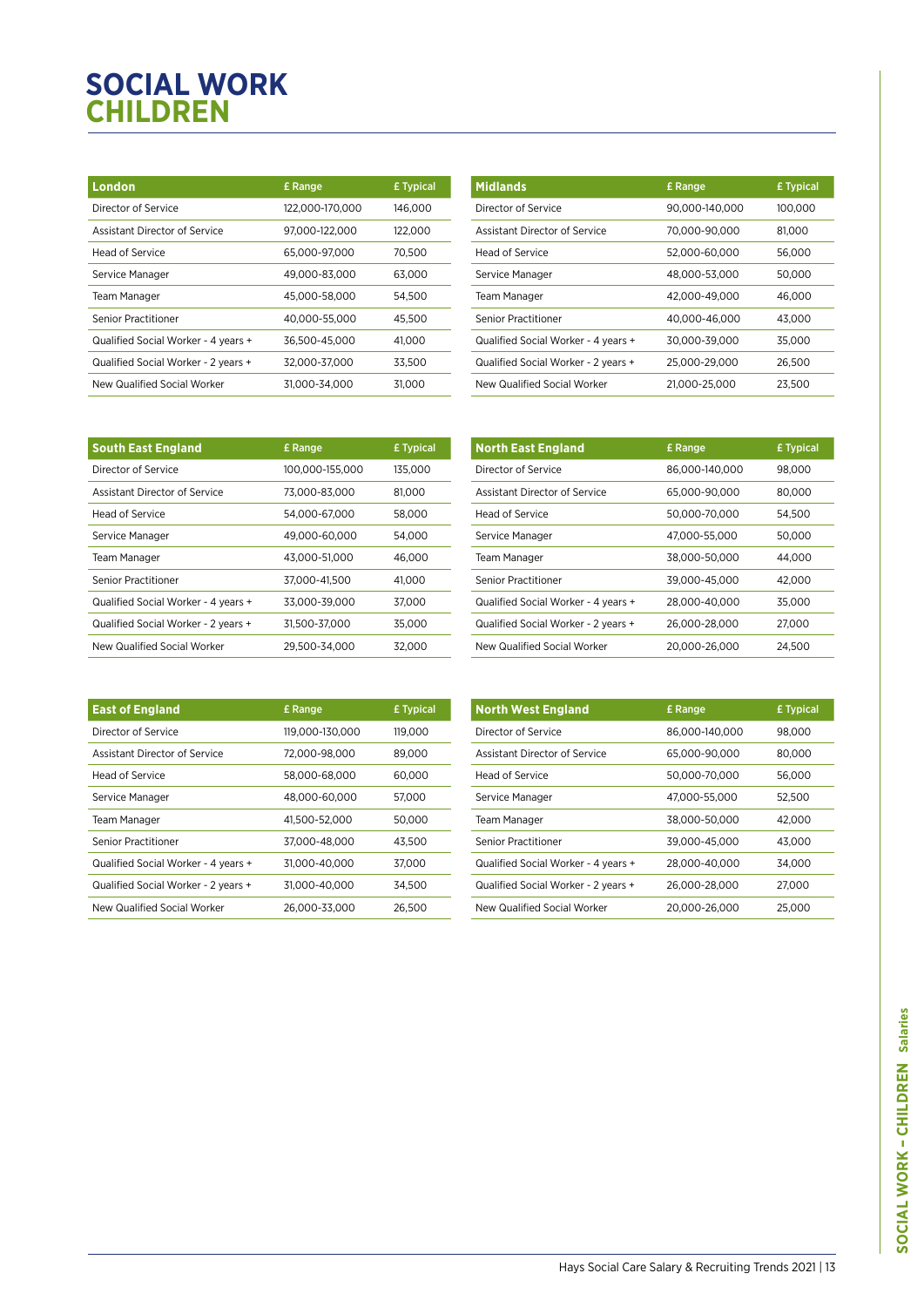## **SOCIAL WORK CHILDREN**

| London                              | £ Range         | £ Typical |
|-------------------------------------|-----------------|-----------|
| Director of Service                 | 122.000-170.000 | 146.000   |
| Assistant Director of Service       | 97.000-122.000  | 122.000   |
| Head of Service                     | 65.000-97.000   | 70.500    |
| Service Manager                     | 49.000-83.000   | 63.000    |
| Team Manager                        | 45,000-58,000   | 54.500    |
| Senior Practitioner                 | 40.000-55.000   | 45.500    |
| Qualified Social Worker - 4 years + | 36.500-45.000   | 41.000    |
| Qualified Social Worker - 2 years + | 32.000-37.000   | 33.500    |
| New Qualified Social Worker         | 31.000-34.000   | 31.000    |

| <b>Midlands</b>                     | £ Range        | £ Typical |
|-------------------------------------|----------------|-----------|
| Director of Service                 | 90.000-140.000 | 100,000   |
| Assistant Director of Service       | 70,000-90,000  | 81.000    |
| Head of Service                     | 52.000-60.000  | 56,000    |
| Service Manager                     | 48.000-53.000  | 50.000    |
| <b>Team Manager</b>                 | 42.000-49.000  | 46.000    |
| Senior Practitioner                 | 40.000-46.000  | 43.000    |
| Qualified Social Worker - 4 years + | 30.000-39.000  | 35.000    |
| Qualified Social Worker - 2 years + | 25.000-29.000  | 26.500    |
| New Qualified Social Worker         | 21.000-25.000  | 23.500    |

| <b>South East England</b>           | £ Range         | £ Typical |
|-------------------------------------|-----------------|-----------|
| Director of Service                 | 100.000-155.000 | 135.000   |
| Assistant Director of Service       | 73.000-83.000   | 81.000    |
| Head of Service                     | 54,000-67,000   | 58,000    |
| Service Manager                     | 49.000-60.000   | 54.000    |
| Team Manager                        | 43,000-51,000   | 46.000    |
| Senior Practitioner                 | 37,000-41,500   | 41.000    |
| Qualified Social Worker - 4 years + | 33.000-39.000   | 37.000    |
| Qualified Social Worker - 2 years + | 31.500-37.000   | 35.000    |
| New Qualified Social Worker         | 29.500-34.000   | 32.000    |

| <b>East of England</b>              | £ Range         | £ Typical |
|-------------------------------------|-----------------|-----------|
| Director of Service                 | 119.000-130.000 | 119.000   |
| Assistant Director of Service       | 72.000-98.000   | 89.000    |
| Head of Service                     | 58,000-68,000   | 60.000    |
| Service Manager                     | 48.000-60.000   | 57.000    |
| Team Manager                        | 41.500-52.000   | 50.000    |
| <b>Senior Practitioner</b>          | 37.000-48.000   | 43.500    |
| Qualified Social Worker - 4 years + | 31.000-40.000   | 37.000    |
| Qualified Social Worker - 2 years + | 31.000-40.000   | 34.500    |
| New Qualified Social Worker         | 26.000-33.000   | 26.500    |

| <b>North East England</b>           | £ Range        | £ Typical |
|-------------------------------------|----------------|-----------|
| Director of Service                 | 86.000-140.000 | 98,000    |
| Assistant Director of Service       | 65.000-90.000  | 80.000    |
| Head of Service                     | 50.000-70.000  | 54.500    |
| Service Manager                     | 47.000-55.000  | 50.000    |
| <b>Team Manager</b>                 | 38.000-50.000  | 44.000    |
| Senior Practitioner                 | 39.000-45.000  | 42.000    |
| Qualified Social Worker - 4 years + | 28.000-40.000  | 35.000    |
| Qualified Social Worker - 2 years + | 26.000-28.000  | 27.000    |
| New Qualified Social Worker         | 20.000-26.000  | 24.500    |

| <b>North West England</b>           | £ Range        | £ Typical |
|-------------------------------------|----------------|-----------|
| Director of Service                 | 86.000-140.000 | 98,000    |
| Assistant Director of Service       | 65.000-90.000  | 80.000    |
| Head of Service                     | 50.000-70.000  | 56.000    |
| Service Manager                     | 47.000-55.000  | 52.500    |
| <b>Team Manager</b>                 | 38.000-50.000  | 42.000    |
| <b>Senior Practitioner</b>          | 39.000-45.000  | 43.000    |
| Qualified Social Worker - 4 years + | 28,000-40,000  | 34,000    |
| Qualified Social Worker - 2 years + | 26.000-28.000  | 27.000    |
| New Qualified Social Worker         | 20.000-26.000  | 25,000    |